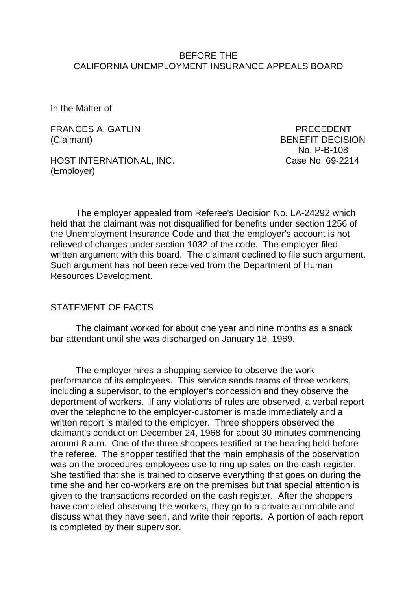#### BEFORE THE CALIFORNIA UNEMPLOYMENT INSURANCE APPEALS BOARD

In the Matter of:

FRANCES A. GATLIN PRECEDENT (Claimant) BENEFIT DECISION

HOST INTERNATIONAL, INC. Case No. 69-2214 (Employer)

No. P-B-108

The employer appealed from Referee's Decision No. LA-24292 which held that the claimant was not disqualified for benefits under section 1256 of the Unemployment Insurance Code and that the employer's account is not relieved of charges under section 1032 of the code. The employer filed written argument with this board. The claimant declined to file such argument. Such argument has not been received from the Department of Human Resources Development.

#### STATEMENT OF FACTS

The claimant worked for about one year and nine months as a snack bar attendant until she was discharged on January 18, 1969.

The employer hires a shopping service to observe the work performance of its employees. This service sends teams of three workers, including a supervisor, to the employer's concession and they observe the deportment of workers. If any violations of rules are observed, a verbal report over the telephone to the employer-customer is made immediately and a written report is mailed to the employer. Three shoppers observed the claimant's conduct on December 24, 1968 for about 30 minutes commencing around 8 a.m. One of the three shoppers testified at the hearing held before the referee. The shopper testified that the main emphasis of the observation was on the procedures employees use to ring up sales on the cash register. She testified that she is trained to observe everything that goes on during the time she and her co-workers are on the premises but that special attention is given to the transactions recorded on the cash register. After the shoppers have completed observing the workers, they go to a private automobile and discuss what they have seen, and write their reports. A portion of each report is completed by their supervisor.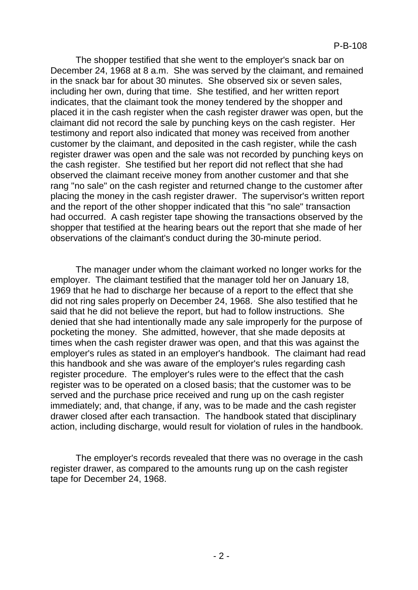The shopper testified that she went to the employer's snack bar on December 24, 1968 at 8 a.m. She was served by the claimant, and remained in the snack bar for about 30 minutes. She observed six or seven sales, including her own, during that time. She testified, and her written report indicates, that the claimant took the money tendered by the shopper and placed it in the cash register when the cash register drawer was open, but the claimant did not record the sale by punching keys on the cash register. Her testimony and report also indicated that money was received from another customer by the claimant, and deposited in the cash register, while the cash register drawer was open and the sale was not recorded by punching keys on the cash register. She testified but her report did not reflect that she had observed the claimant receive money from another customer and that she rang "no sale" on the cash register and returned change to the customer after placing the money in the cash register drawer. The supervisor's written report and the report of the other shopper indicated that this "no sale" transaction had occurred. A cash register tape showing the transactions observed by the shopper that testified at the hearing bears out the report that she made of her observations of the claimant's conduct during the 30-minute period.

The manager under whom the claimant worked no longer works for the employer. The claimant testified that the manager told her on January 18, 1969 that he had to discharge her because of a report to the effect that she did not ring sales properly on December 24, 1968. She also testified that he said that he did not believe the report, but had to follow instructions. She denied that she had intentionally made any sale improperly for the purpose of pocketing the money. She admitted, however, that she made deposits at times when the cash register drawer was open, and that this was against the employer's rules as stated in an employer's handbook. The claimant had read this handbook and she was aware of the employer's rules regarding cash register procedure. The employer's rules were to the effect that the cash register was to be operated on a closed basis; that the customer was to be served and the purchase price received and rung up on the cash register immediately; and, that change, if any, was to be made and the cash register drawer closed after each transaction. The handbook stated that disciplinary action, including discharge, would result for violation of rules in the handbook.

The employer's records revealed that there was no overage in the cash register drawer, as compared to the amounts rung up on the cash register tape for December 24, 1968.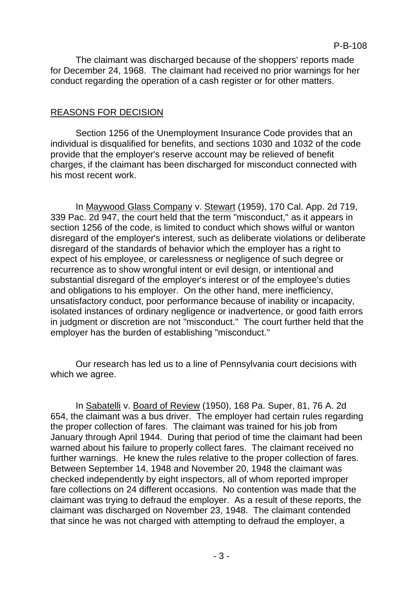The claimant was discharged because of the shoppers' reports made for December 24, 1968. The claimant had received no prior warnings for her conduct regarding the operation of a cash register or for other matters.

# REASONS FOR DECISION

Section 1256 of the Unemployment Insurance Code provides that an individual is disqualified for benefits, and sections 1030 and 1032 of the code provide that the employer's reserve account may be relieved of benefit charges, if the claimant has been discharged for misconduct connected with his most recent work.

In Maywood Glass Company v. Stewart (1959), 170 Cal. App. 2d 719, 339 Pac. 2d 947, the court held that the term "misconduct," as it appears in section 1256 of the code, is limited to conduct which shows wilful or wanton disregard of the employer's interest, such as deliberate violations or deliberate disregard of the standards of behavior which the employer has a right to expect of his employee, or carelessness or negligence of such degree or recurrence as to show wrongful intent or evil design, or intentional and substantial disregard of the employer's interest or of the employee's duties and obligations to his employer. On the other hand, mere inefficiency, unsatisfactory conduct, poor performance because of inability or incapacity, isolated instances of ordinary negligence or inadvertence, or good faith errors in judgment or discretion are not "misconduct." The court further held that the employer has the burden of establishing "misconduct."

Our research has led us to a line of Pennsylvania court decisions with which we agree.

In Sabatelli v. Board of Review (1950), 168 Pa. Super, 81, 76 A. 2d 654, the claimant was a bus driver. The employer had certain rules regarding the proper collection of fares. The claimant was trained for his job from January through April 1944. During that period of time the claimant had been warned about his failure to properly collect fares. The claimant received no further warnings. He knew the rules relative to the proper collection of fares. Between September 14, 1948 and November 20, 1948 the claimant was checked independently by eight inspectors, all of whom reported improper fare collections on 24 different occasions. No contention was made that the claimant was trying to defraud the employer. As a result of these reports, the claimant was discharged on November 23, 1948. The claimant contended that since he was not charged with attempting to defraud the employer, a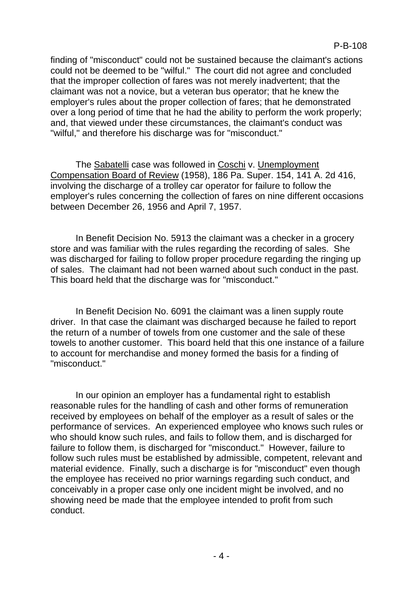finding of "misconduct" could not be sustained because the claimant's actions could not be deemed to be "wilful." The court did not agree and concluded that the improper collection of fares was not merely inadvertent; that the claimant was not a novice, but a veteran bus operator; that he knew the employer's rules about the proper collection of fares; that he demonstrated over a long period of time that he had the ability to perform the work properly; and, that viewed under these circumstances, the claimant's conduct was "wilful," and therefore his discharge was for "misconduct."

The Sabatelli case was followed in Coschi v. Unemployment Compensation Board of Review (1958), 186 Pa. Super. 154, 141 A. 2d 416, involving the discharge of a trolley car operator for failure to follow the employer's rules concerning the collection of fares on nine different occasions between December 26, 1956 and April 7, 1957.

In Benefit Decision No. 5913 the claimant was a checker in a grocery store and was familiar with the rules regarding the recording of sales. She was discharged for failing to follow proper procedure regarding the ringing up of sales. The claimant had not been warned about such conduct in the past. This board held that the discharge was for "misconduct."

In Benefit Decision No. 6091 the claimant was a linen supply route driver. In that case the claimant was discharged because he failed to report the return of a number of towels from one customer and the sale of these towels to another customer. This board held that this one instance of a failure to account for merchandise and money formed the basis for a finding of "misconduct."

In our opinion an employer has a fundamental right to establish reasonable rules for the handling of cash and other forms of remuneration received by employees on behalf of the employer as a result of sales or the performance of services. An experienced employee who knows such rules or who should know such rules, and fails to follow them, and is discharged for failure to follow them, is discharged for "misconduct." However, failure to follow such rules must be established by admissible, competent, relevant and material evidence. Finally, such a discharge is for "misconduct" even though the employee has received no prior warnings regarding such conduct, and conceivably in a proper case only one incident might be involved, and no showing need be made that the employee intended to profit from such conduct.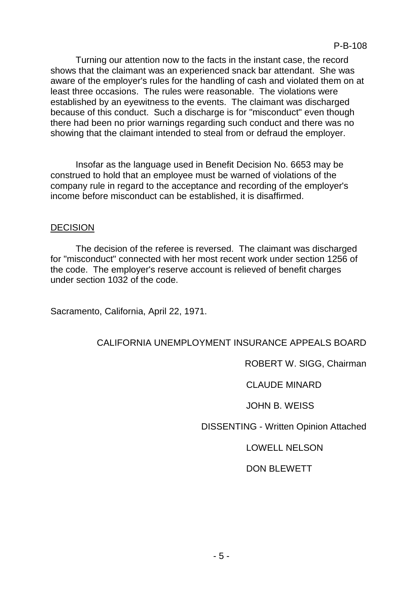Turning our attention now to the facts in the instant case, the record shows that the claimant was an experienced snack bar attendant. She was aware of the employer's rules for the handling of cash and violated them on at least three occasions. The rules were reasonable. The violations were established by an eyewitness to the events. The claimant was discharged because of this conduct. Such a discharge is for "misconduct" even though there had been no prior warnings regarding such conduct and there was no showing that the claimant intended to steal from or defraud the employer.

Insofar as the language used in Benefit Decision No. 6653 may be construed to hold that an employee must be warned of violations of the company rule in regard to the acceptance and recording of the employer's income before misconduct can be established, it is disaffirmed.

### DECISION

The decision of the referee is reversed. The claimant was discharged for "misconduct" connected with her most recent work under section 1256 of the code. The employer's reserve account is relieved of benefit charges under section 1032 of the code.

Sacramento, California, April 22, 1971.

# CALIFORNIA UNEMPLOYMENT INSURANCE APPEALS BOARD

### ROBERT W. SIGG, Chairman

### CLAUDE MINARD

# JOHN B. WEISS

DISSENTING - Written Opinion Attached

# LOWELL NELSON

# DON BLEWETT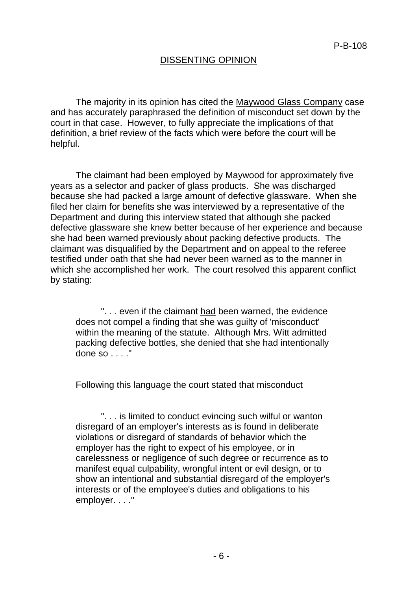### DISSENTING OPINION

The majority in its opinion has cited the Maywood Glass Company case and has accurately paraphrased the definition of misconduct set down by the court in that case. However, to fully appreciate the implications of that definition, a brief review of the facts which were before the court will be helpful.

The claimant had been employed by Maywood for approximately five years as a selector and packer of glass products. She was discharged because she had packed a large amount of defective glassware. When she filed her claim for benefits she was interviewed by a representative of the Department and during this interview stated that although she packed defective glassware she knew better because of her experience and because she had been warned previously about packing defective products. The claimant was disqualified by the Department and on appeal to the referee testified under oath that she had never been warned as to the manner in which she accomplished her work. The court resolved this apparent conflict by stating:

". . . even if the claimant had been warned, the evidence does not compel a finding that she was guilty of 'misconduct' within the meaning of the statute. Although Mrs. Witt admitted packing defective bottles, she denied that she had intentionally done so . . . ."

Following this language the court stated that misconduct

". . . is limited to conduct evincing such wilful or wanton disregard of an employer's interests as is found in deliberate violations or disregard of standards of behavior which the employer has the right to expect of his employee, or in carelessness or negligence of such degree or recurrence as to manifest equal culpability, wrongful intent or evil design, or to show an intentional and substantial disregard of the employer's interests or of the employee's duties and obligations to his employer. . . ."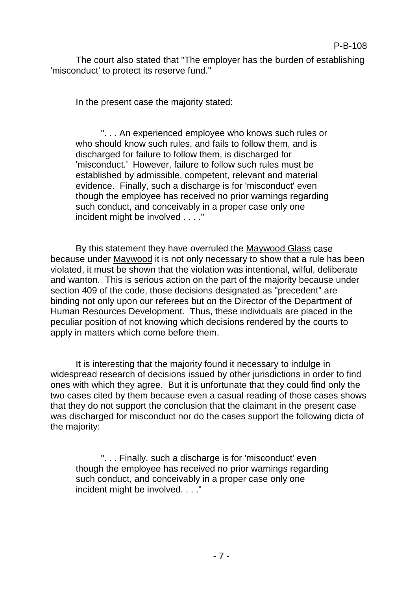The court also stated that "The employer has the burden of establishing 'misconduct' to protect its reserve fund."

In the present case the majority stated:

". . . An experienced employee who knows such rules or who should know such rules, and fails to follow them, and is discharged for failure to follow them, is discharged for 'misconduct.' However, failure to follow such rules must be established by admissible, competent, relevant and material evidence. Finally, such a discharge is for 'misconduct' even though the employee has received no prior warnings regarding such conduct, and conceivably in a proper case only one incident might be involved . . . ."

By this statement they have overruled the Maywood Glass case because under Maywood it is not only necessary to show that a rule has been violated, it must be shown that the violation was intentional, wilful, deliberate and wanton. This is serious action on the part of the majority because under section 409 of the code, those decisions designated as "precedent" are binding not only upon our referees but on the Director of the Department of Human Resources Development. Thus, these individuals are placed in the peculiar position of not knowing which decisions rendered by the courts to apply in matters which come before them.

It is interesting that the majority found it necessary to indulge in widespread research of decisions issued by other jurisdictions in order to find ones with which they agree. But it is unfortunate that they could find only the two cases cited by them because even a casual reading of those cases shows that they do not support the conclusion that the claimant in the present case was discharged for misconduct nor do the cases support the following dicta of the majority:

". . . Finally, such a discharge is for 'misconduct' even though the employee has received no prior warnings regarding such conduct, and conceivably in a proper case only one incident might be involved. . . ."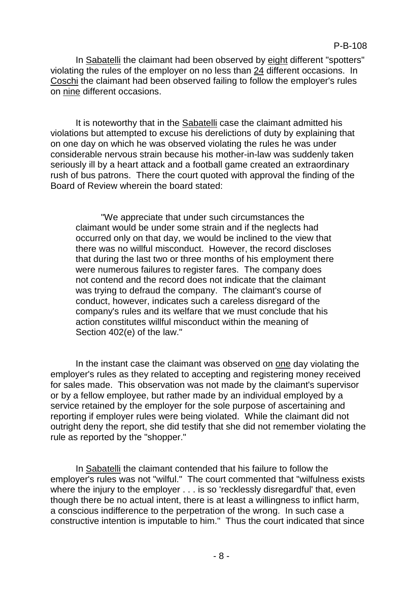In Sabatelli the claimant had been observed by eight different "spotters" violating the rules of the employer on no less than 24 different occasions. In Coschi the claimant had been observed failing to follow the employer's rules on nine different occasions.

It is noteworthy that in the Sabatelli case the claimant admitted his violations but attempted to excuse his derelictions of duty by explaining that on one day on which he was observed violating the rules he was under considerable nervous strain because his mother-in-law was suddenly taken seriously ill by a heart attack and a football game created an extraordinary rush of bus patrons. There the court quoted with approval the finding of the Board of Review wherein the board stated:

"We appreciate that under such circumstances the claimant would be under some strain and if the neglects had occurred only on that day, we would be inclined to the view that there was no willful misconduct. However, the record discloses that during the last two or three months of his employment there were numerous failures to register fares. The company does not contend and the record does not indicate that the claimant was trying to defraud the company. The claimant's course of conduct, however, indicates such a careless disregard of the company's rules and its welfare that we must conclude that his action constitutes willful misconduct within the meaning of Section 402(e) of the law."

In the instant case the claimant was observed on one day violating the employer's rules as they related to accepting and registering money received for sales made. This observation was not made by the claimant's supervisor or by a fellow employee, but rather made by an individual employed by a service retained by the employer for the sole purpose of ascertaining and reporting if employer rules were being violated. While the claimant did not outright deny the report, she did testify that she did not remember violating the rule as reported by the "shopper."

In Sabatelli the claimant contended that his failure to follow the employer's rules was not "wilful." The court commented that "wilfulness exists where the injury to the employer . . . is so 'recklessly disregardful' that, even though there be no actual intent, there is at least a willingness to inflict harm, a conscious indifference to the perpetration of the wrong. In such case a constructive intention is imputable to him." Thus the court indicated that since